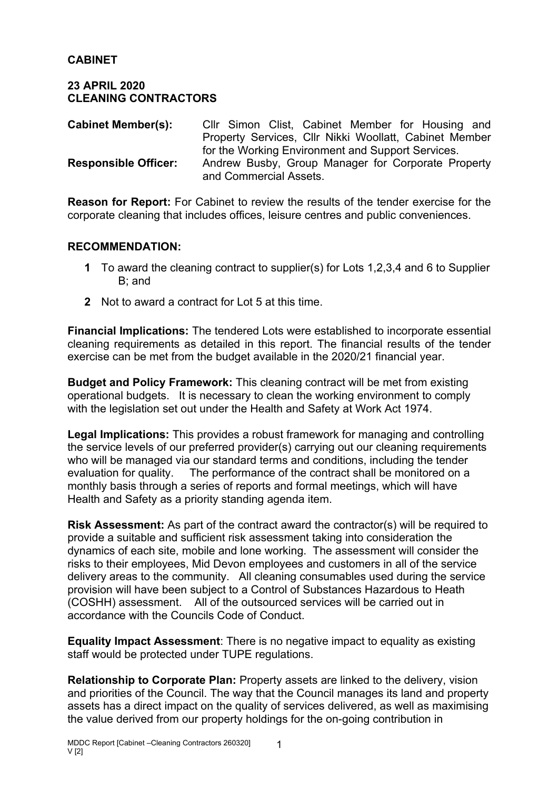## **CABINET**

#### **23 APRIL 2020 CLEANING CONTRACTORS**

| <b>Cabinet Member(s):</b>   | CIIr Simon Clist, Cabinet Member for Housing and       |  |  |
|-----------------------------|--------------------------------------------------------|--|--|
|                             | Property Services, Cllr Nikki Woollatt, Cabinet Member |  |  |
|                             | for the Working Environment and Support Services.      |  |  |
| <b>Responsible Officer:</b> | Andrew Busby, Group Manager for Corporate Property     |  |  |
|                             | and Commercial Assets.                                 |  |  |

**Reason for Report:** For Cabinet to review the results of the tender exercise for the corporate cleaning that includes offices, leisure centres and public conveniences.

## **RECOMMENDATION:**

- **1** To award the cleaning contract to supplier(s) for Lots 1,2,3,4 and 6 to Supplier B; and
- **2** Not to award a contract for Lot 5 at this time.

**Financial Implications:** The tendered Lots were established to incorporate essential cleaning requirements as detailed in this report. The financial results of the tender exercise can be met from the budget available in the 2020/21 financial year.

**Budget and Policy Framework:** This cleaning contract will be met from existing operational budgets. It is necessary to clean the working environment to comply with the legislation set out under the Health and Safety at Work Act 1974.

**Legal Implications:** This provides a robust framework for managing and controlling the service levels of our preferred provider(s) carrying out our cleaning requirements who will be managed via our standard terms and conditions, including the tender evaluation for quality. The performance of the contract shall be monitored on a monthly basis through a series of reports and formal meetings, which will have Health and Safety as a priority standing agenda item.

**Risk Assessment:** As part of the contract award the contractor(s) will be required to provide a suitable and sufficient risk assessment taking into consideration the dynamics of each site, mobile and lone working. The assessment will consider the risks to their employees, Mid Devon employees and customers in all of the service delivery areas to the community. All cleaning consumables used during the service provision will have been subject to a Control of Substances Hazardous to Heath (COSHH) assessment. All of the outsourced services will be carried out in accordance with the Councils Code of Conduct.

**Equality Impact Assessment**: There is no negative impact to equality as existing staff would be protected under TUPE regulations.

**Relationship to Corporate Plan:** Property assets are linked to the delivery, vision and priorities of the Council. The way that the Council manages its land and property assets has a direct impact on the quality of services delivered, as well as maximising the value derived from our property holdings for the on-going contribution in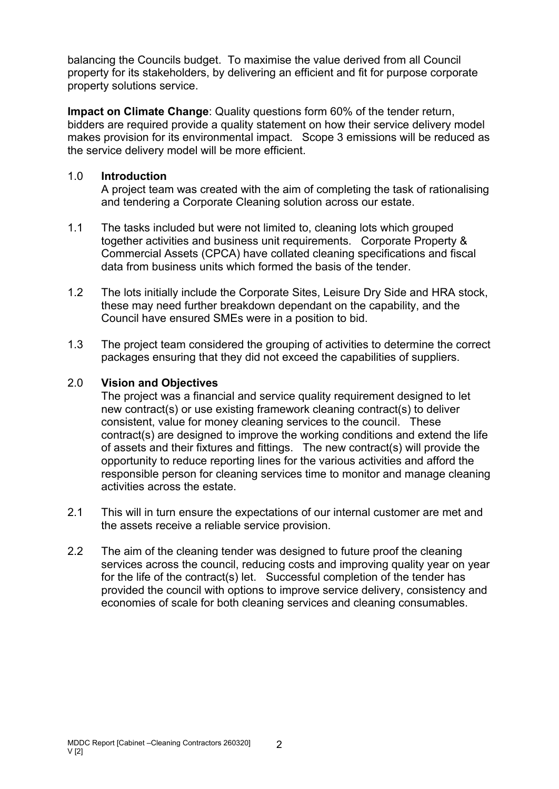balancing the Councils budget. To maximise the value derived from all Council property for its stakeholders, by delivering an efficient and fit for purpose corporate property solutions service.

**Impact on Climate Change**: Quality questions form 60% of the tender return, bidders are required provide a quality statement on how their service delivery model makes provision for its environmental impact. Scope 3 emissions will be reduced as the service delivery model will be more efficient.

## 1.0 **Introduction**

A project team was created with the aim of completing the task of rationalising and tendering a Corporate Cleaning solution across our estate.

- 1.1 The tasks included but were not limited to, cleaning lots which grouped together activities and business unit requirements. Corporate Property & Commercial Assets (CPCA) have collated cleaning specifications and fiscal data from business units which formed the basis of the tender.
- 1.2 The lots initially include the Corporate Sites, Leisure Dry Side and HRA stock, these may need further breakdown dependant on the capability, and the Council have ensured SMEs were in a position to bid.
- 1.3 The project team considered the grouping of activities to determine the correct packages ensuring that they did not exceed the capabilities of suppliers.

## 2.0 **Vision and Objectives**

The project was a financial and service quality requirement designed to let new contract(s) or use existing framework cleaning contract(s) to deliver consistent, value for money cleaning services to the council. These contract(s) are designed to improve the working conditions and extend the life of assets and their fixtures and fittings. The new contract(s) will provide the opportunity to reduce reporting lines for the various activities and afford the responsible person for cleaning services time to monitor and manage cleaning activities across the estate.

- 2.1 This will in turn ensure the expectations of our internal customer are met and the assets receive a reliable service provision.
- 2.2 The aim of the cleaning tender was designed to future proof the cleaning services across the council, reducing costs and improving quality year on year for the life of the contract(s) let. Successful completion of the tender has provided the council with options to improve service delivery, consistency and economies of scale for both cleaning services and cleaning consumables.

2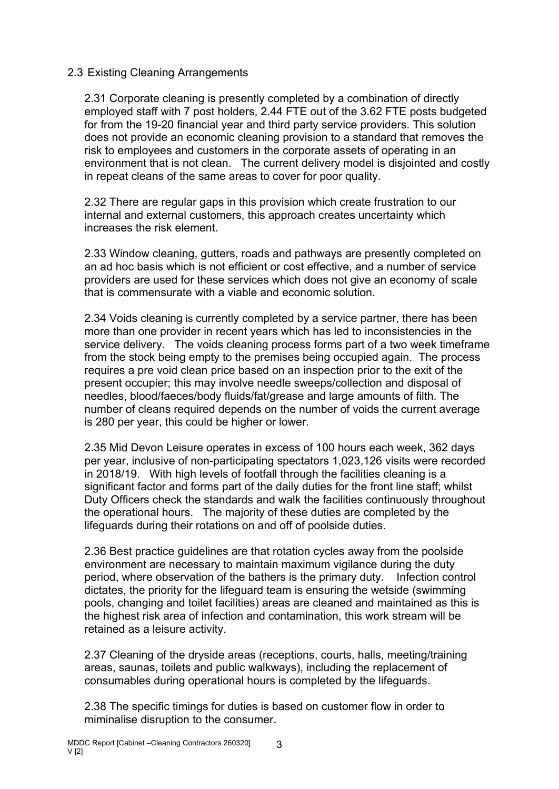## 2.3 Existing Cleaning Arrangements

2.31 Corporate cleaning is presently completed by a combination of directly employed staff with 7 post holders, 2.44 FTE out of the 3.62 FTE posts budgeted for from the 19-20 financial year and third party service providers. This solution does not provide an economic cleaning provision to a standard that removes the risk to employees and customers in the corporate assets of operating in an environment that is not clean. The current delivery model is disjointed and costly in repeat cleans of the same areas to cover for poor quality.

2.32 There are regular gaps in this provision which create frustration to our internal and external customers, this approach creates uncertainty which increases the risk element.

2.33 Window cleaning, gutters, roads and pathways are presently completed on an ad hoc basis which is not efficient or cost effective, and a number of service providers are used for these services which does not give an economy of scale that is commensurate with a viable and economic solution.

2.34 Voids cleaning is currently completed by a service partner, there has been more than one provider in recent years which has led to inconsistencies in the service delivery. The voids cleaning process forms part of a two week timeframe from the stock being empty to the premises being occupied again. The process requires a pre void clean price based on an inspection prior to the exit of the present occupier; this may involve needle sweeps/collection and disposal of needles, blood/faeces/body fluids/fat/grease and large amounts of filth. The number of cleans required depends on the number of voids the current average is 280 per year, this could be higher or lower.

2.35 Mid Devon Leisure operates in excess of 100 hours each week, 362 days per year, inclusive of non-participating spectators 1,023,126 visits were recorded in 2018/19. With high levels of footfall through the facilities cleaning is a significant factor and forms part of the daily duties for the front line staff; whilst Duty Officers check the standards and walk the facilities continuously throughout the operational hours. The majority of these duties are completed by the lifeguards during their rotations on and off of poolside duties.

2.36 Best practice guidelines are that rotation cycles away from the poolside environment are necessary to maintain maximum vigilance during the duty period, where observation of the bathers is the primary duty. Infection control dictates, the priority for the lifeguard team is ensuring the wetside (swimming pools, changing and toilet facilities) areas are cleaned and maintained as this is the highest risk area of infection and contamination, this work stream will be retained as a leisure activity.

2.37 Cleaning of the dryside areas (receptions, courts, halls, meeting/training areas, saunas, toilets and public walkways), including the replacement of consumables during operational hours is completed by the lifeguards.

2.38 The specific timings for duties is based on customer flow in order to miminalise disruption to the consumer.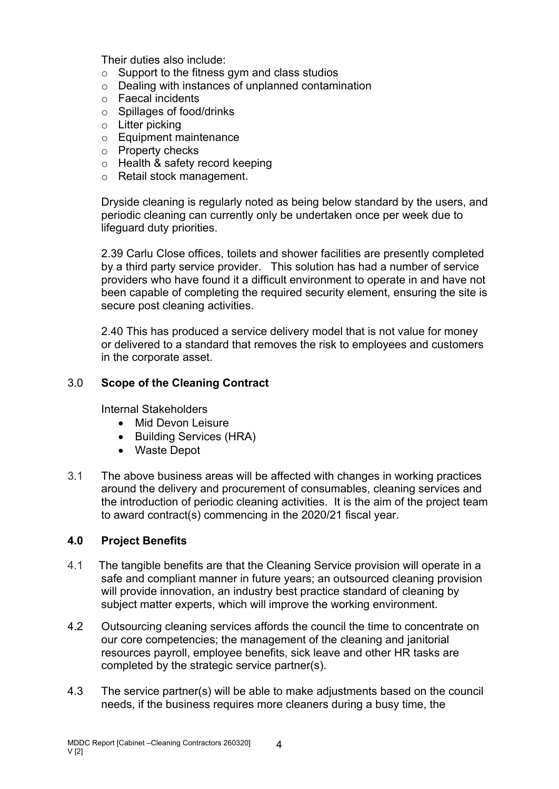Their duties also include:

- $\circ$  Support to the fitness gym and class studios
- o Dealing with instances of unplanned contamination
- o Faecal incidents
- o Spillages of food/drinks
- $\circ$  Litter picking
- o Equipment maintenance
- o Property checks
- o Health & safety record keeping
- o Retail stock management.

Dryside cleaning is regularly noted as being below standard by the users, and periodic cleaning can currently only be undertaken once per week due to lifeguard duty priorities.

2.39 Carlu Close offices, toilets and shower facilities are presently completed by a third party service provider. This solution has had a number of service providers who have found it a difficult environment to operate in and have not been capable of completing the required security element, ensuring the site is secure post cleaning activities.

2.40 This has produced a service delivery model that is not value for money or delivered to a standard that removes the risk to employees and customers in the corporate asset.

## 3.0 **Scope of the Cleaning Contract**

Internal Stakeholders

- Mid Devon Leisure
- Building Services (HRA)
- Waste Depot
- 3.1 The above business areas will be affected with changes in working practices around the delivery and procurement of consumables, cleaning services and the introduction of periodic cleaning activities. It is the aim of the project team to award contract(s) commencing in the 2020/21 fiscal year.

#### **4.0 Project Benefits**

- 4.1 The tangible benefits are that the Cleaning Service provision will operate in a safe and compliant manner in future years; an outsourced cleaning provision will provide innovation, an industry best practice standard of cleaning by subject matter experts, which will improve the working environment.
- 4.2 Outsourcing cleaning services affords the council the time to concentrate on our core competencies; the management of the cleaning and janitorial resources payroll, employee benefits, sick leave and other HR tasks are completed by the strategic service partner(s).
- 4.3 The service partner(s) will be able to make adjustments based on the council needs, if the business requires more cleaners during a busy time, the

4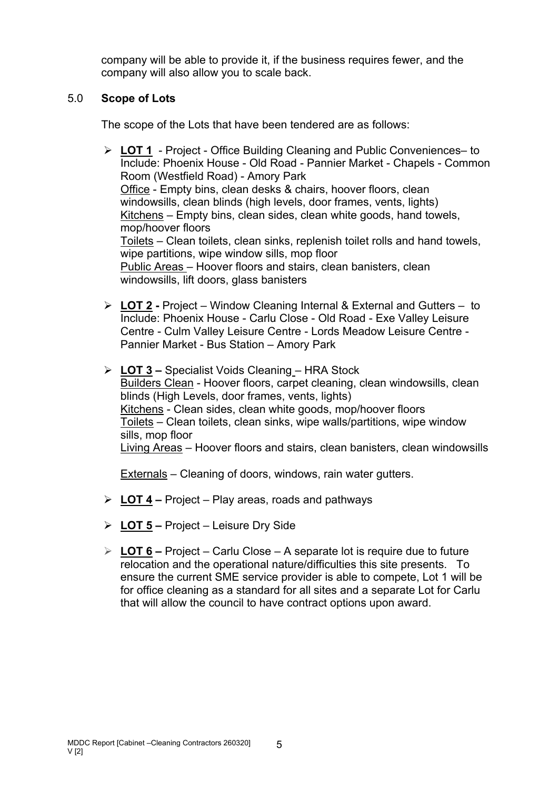company will be able to provide it, if the business requires fewer, and the company will also allow you to scale back.

## 5.0 **Scope of Lots**

The scope of the Lots that have been tendered are as follows:

- **LOT 1** Project Office Building Cleaning and Public Conveniences– to Include: Phoenix House - Old Road - Pannier Market - Chapels - Common Room (Westfield Road) - Amory Park Office - Empty bins, clean desks & chairs, hoover floors, clean windowsills, clean blinds (high levels, door frames, vents, lights) Kitchens – Empty bins, clean sides, clean white goods, hand towels, mop/hoover floors Toilets – Clean toilets, clean sinks, replenish toilet rolls and hand towels, wipe partitions, wipe window sills, mop floor Public Areas – Hoover floors and stairs, clean banisters, clean windowsills, lift doors, glass banisters
- **LOT 2 -** Project Window Cleaning Internal & External and Gutters to Include: Phoenix House - Carlu Close - Old Road - Exe Valley Leisure Centre - Culm Valley Leisure Centre - Lords Meadow Leisure Centre - Pannier Market - Bus Station – Amory Park
- **LOT 3 –** Specialist Voids Cleaning HRA Stock Builders Clean - Hoover floors, carpet cleaning, clean windowsills, clean blinds (High Levels, door frames, vents, lights) Kitchens - Clean sides, clean white goods, mop/hoover floors Toilets – Clean toilets, clean sinks, wipe walls/partitions, wipe window sills, mop floor Living Areas – Hoover floors and stairs, clean banisters, clean windowsills

Externals – Cleaning of doors, windows, rain water gutters.

- **LOT 4 –** Project Play areas, roads and pathways
- **LOT 5 –** Project Leisure Dry Side
- **LOT 6 –** Project Carlu Close A separate lot is require due to future relocation and the operational nature/difficulties this site presents. To ensure the current SME service provider is able to compete, Lot 1 will be for office cleaning as a standard for all sites and a separate Lot for Carlu that will allow the council to have contract options upon award.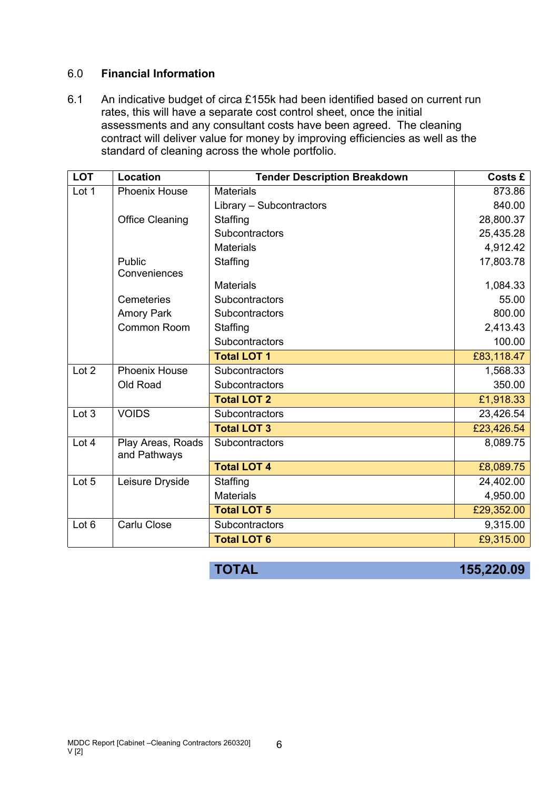#### 6.0 **Financial Information**

6.1 An indicative budget of circa £155k had been identified based on current run rates, this will have a separate cost control sheet, once the initial assessments and any consultant costs have been agreed. The cleaning contract will deliver value for money by improving efficiencies as well as the standard of cleaning across the whole portfolio.

| <b>LOT</b>       | Location                          | <b>Tender Description Breakdown</b> | <b>Costs £</b> |
|------------------|-----------------------------------|-------------------------------------|----------------|
| Lot 1            | <b>Phoenix House</b>              | <b>Materials</b>                    | 873.86         |
|                  |                                   | Library - Subcontractors            | 840.00         |
|                  | <b>Office Cleaning</b>            | Staffing                            | 28,800.37      |
|                  |                                   | Subcontractors                      | 25,435.28      |
|                  |                                   | <b>Materials</b>                    | 4,912.42       |
|                  | Public<br>Conveniences            | Staffing                            | 17,803.78      |
|                  |                                   | <b>Materials</b>                    | 1,084.33       |
|                  | Cemeteries                        | Subcontractors                      | 55.00          |
|                  | <b>Amory Park</b>                 | Subcontractors                      | 800.00         |
|                  | Common Room                       | Staffing                            | 2,413.43       |
|                  |                                   | Subcontractors                      | 100.00         |
|                  |                                   | <b>Total LOT 1</b>                  | £83,118.47     |
| Lot 2            | <b>Phoenix House</b>              | Subcontractors                      | 1,568.33       |
|                  | Old Road                          | Subcontractors                      | 350.00         |
|                  |                                   | <b>Total LOT 2</b>                  | £1,918.33      |
| Lot 3            | <b>VOIDS</b>                      | Subcontractors                      | 23,426.54      |
|                  |                                   | <b>Total LOT 3</b>                  | £23,426.54     |
| Lot 4            | Play Areas, Roads<br>and Pathways | Subcontractors                      | 8,089.75       |
|                  |                                   | <b>Total LOT 4</b>                  | £8,089.75      |
| Lot 5            | Leisure Dryside                   | Staffing                            | 24,402.00      |
|                  |                                   | <b>Materials</b>                    | 4,950.00       |
|                  |                                   | <b>Total LOT 5</b>                  | £29,352.00     |
| Lot <sub>6</sub> | Carlu Close                       | Subcontractors                      | 9,315.00       |
|                  |                                   | <b>Total LOT 6</b>                  | £9,315.00      |

6

| <b>TOTAL</b> | 155,220.09 |
|--------------|------------|
|              |            |